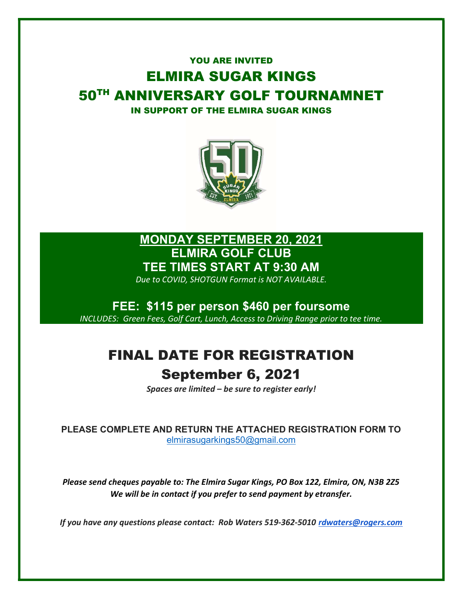## YOU ARE INVITED ELMIRA SUGAR KINGS 50TH ANNIVERSARY GOLF TOURNAMNET IN SUPPORT OF THE ELMIRA SUGAR KINGS



## MONDAY SEPTEMBER 20, 2021 ELMIRA GOLF CLUB TEE TIMES START AT 9:30 AM

Due to COVID, SHOTGUN Format is NOT AVAILABLE.

FEE: \$115 per person \$460 per foursome INCLUDES: Green Fees, Golf Cart, Lunch, Access to Driving Range prior to tee time.

## FINAL DATE FOR REGISTRATION September 6, 2021

Spaces are limited – be sure to register early!

PLEASE COMPLETE AND RETURN THE ATTACHED REGISTRATION FORM TO elmirasugarkings50@gmail.com

Please send cheques payable to: The Elmira Sugar Kings, PO Box 122, Elmira, ON, N3B 2Z5 We will be in contact if you prefer to send payment by etransfer.

If you have any questions please contact: Rob Waters 519-362-5010 rdwaters@rogers.com